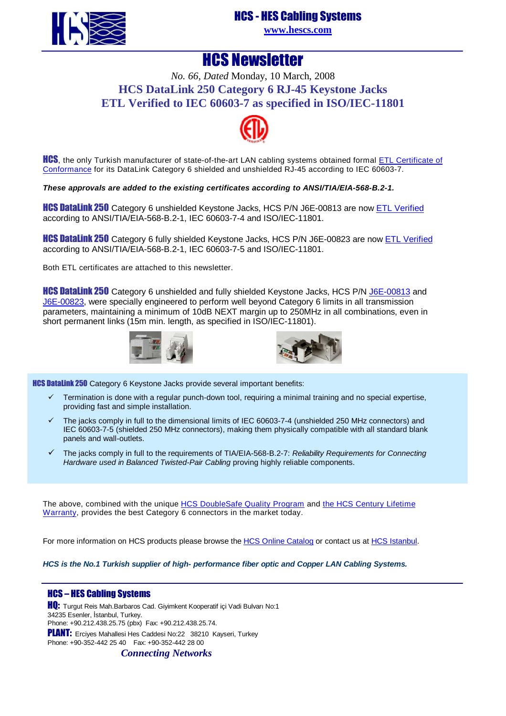

### HCS - HES Cabling Systems

**[www.hescs.com](http://www.hescs.com/)**

### HCS Newsletter

*No. 66, Dated* Monday, 10 March, 2008 **HCS DataLink 250 Category 6 RJ-45 Keystone Jacks ETL Verified to IEC 60603-7 as specified in ISO/IEC-11801** 



**HCS**, the only Turkish manufacturer of state-of-the-art LAN cabling systems obtained formal **ETL** Certificate of Conformance for its DataLink Category 6 shielded and unshielded RJ-45 according to IEC 60603-7.

**These approvals are added to the existing certificates according to ANSI/TIA/EIA-568-B.2-1.** 

**HCS DataLink 250** Category 6 unshielded Keystone Jacks, HCS P/N J6E-00813 are now **ETL Verified** according to ANSI/TIA/EIA-568-B.2-1, IEC 60603-7-4 and ISO/IEC-11801.

**HCS DataLink 250** Category 6 fully shielded Keystone Jacks, HCS P/N J6E-00823 are now **ETL Verified** according to ANSI/TIA/EIA-568-B.2-1, IEC 60603-7-5 and ISO/IEC-11801.

Both ETL certificates are attached to this newsletter.

HCS Datalink 250 Category 6 unshielded and fully shielded Keystone Jacks, HCS P/N J6E-00813 and [J6E-00823, were specially engineered to perform well beyond Category 6 limits in all transmission](http://www.hescs.com/katalogen/?dosya=110_1.htm) parameters, maintaining a minimum of 10dB NEXT margin up to 250MHz in all combinations, even in short permanent links (15m min. length, as specified in ISO/IEC-11801).





**HCS DataLink 250** Category 6 Keystone Jacks provide several important benefits:

- Termination is done with a regular punch-down tool, requiring a minimal training and no special expertise, providing fast and simple installation.
- $\checkmark$  The jacks comply in full to the dimensional limits of IEC 60603-7-4 (unshielded 250 MHz connectors) and IEC 60603-7-5 (shielded 250 MHz connectors), making them physically compatible with all standard blank panels and wall-outlets.
- $\checkmark$  The jacks comply in full to the requirements of TIA/EIA-568-B.2-7: Reliability Requirements for Connecting Hardware used in Balanced Twisted-Pair Cabling proving highly reliable components.

The above, combined with the uniqu[e HCS DoubleSafe Quality Program and the HCS Century Lifetim](http://www.hescs.com/eng/?s=quality.htm)e Warranty, provides the best Category 6 connectors in the market today.

For more information on HCS products please browse th[e HCS Online Catalog or contact us a](http://hescs.com/katalogen/)[t HCS Istanbu](http://hescs.com/eng/?s=contact.php)l.

**HCS is the No.1 Turkish supplier of high- performance fiber optic and Copper LAN Cabling Systems.** 

#### HCS – HES Cabling Systems

**HQ:** Turgut Reis Mah.Barbaros Cad. Giyimkent Kooperatif içi Vadi Bulvarı No:1 34235 Esenler, İstanbul, Turkey. Phone: +90.212.438.25.75 (pbx) Fax: +90.212.438.25.74. PLANT: Erciyes Mahallesi Hes Caddesi No:22 38210 Kayseri, Turkey Phone: +90-352-442 25 40 Fax: +90-352-442 28 00

*Connecting Networks*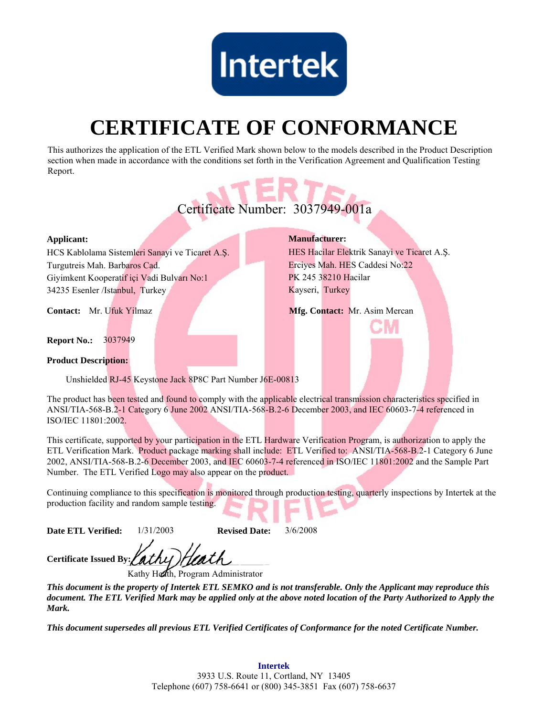

# **CERTIFICATE OF CONFORMANCE**

This authorizes the application of the ETL Verified Mark shown below to the models described in the Product Description section when made in accordance with the conditions set forth in the Verification Agreement and Qualification Testing Report.



This certificate, supported by your participation in the ETL Hardware Verification Program, is authorization to apply the ETL Verification Mark. Product package marking shall include: ETL Verified to: ANSI/TIA-568-B.2-1 Category 6 June 2002, ANSI/TIA-568-B.2-6 December 2003, and IEC 60603-7-4 referenced in ISO/IEC 11801:2002 and the Sample Part Number. The ETL Verified Logo may also appear on the product.

Continuing compliance to this specification is monitored through production testing, quarterly inspections by Intertek at the production facility and random sample testing.

**Date ETL Verified:** 1/31/2003 **Revised Date:** 3/6/2008

**Certificate Issued By:**

Kathy Heath, Program Administrator

*This document is the property of Intertek ETL SEMKO and is not transferable. Only the Applicant may reproduce this document. The ETL Verified Mark may be applied only at the above noted location of the Party Authorized to Apply the Mark.*

*This document supersedes all previous ETL Verified Certificates of Conformance for the noted Certificate Number.*